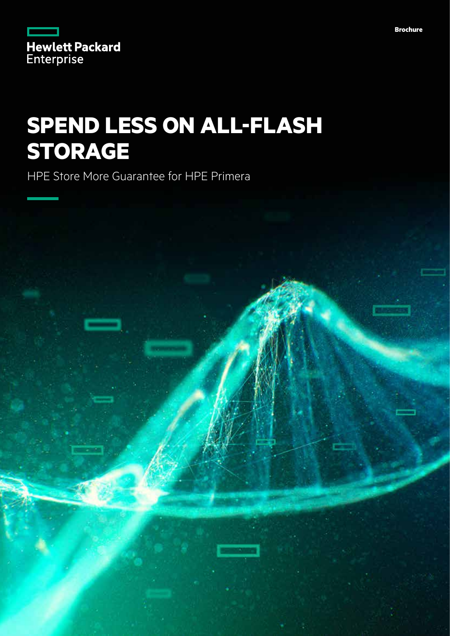|                   | <b>Hewlett Packard</b> |
|-------------------|------------------------|
| <b>Enterprise</b> |                        |

# **SPEND LESS ON ALL-FLASH STORAGE**

HPE Store More Guarantee for HPE Primera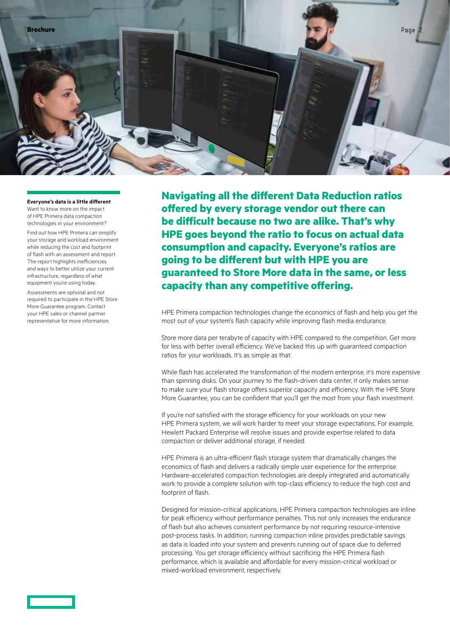**Everyone's data is a little different** Want to know more on the impact

of HPE Primera data compaction technologies in your environment?

Find out how HPE Primera can simplify your storage and workload environment while reducing the cost and footprint of flash with an assessment and report. The report highlights inefficiencies and ways to better utilize your current infrastructure, regardless of what equipment you're using today.

Assessments are optional and not required to participate in the HPE Store More Guarantee program. Contact your HPE sales or channel partner representative for more information.

**Navigating all the different Data Reduction ratios offered by every storage vendor out there can be difficult because no two are alike. That's why HPE goes beyond the ratio to focus on actual data consumption and capacity. Everyone's ratios are going to be different but with HPE you are guaranteed to Store More data in the same, or less capacity than any competitive offering.**

HPE Primera compaction technologies change the economics of flash and help you get the most out of your system's flash capacity while improving flash media endurance.

Store more data per terabyte of capacity with HPE compared to the competition. Get more for less with better overall efficiency. We've backed this up with guaranteed compaction ratios for your workloads. It's as simple as that.

While flash has accelerated the transformation of the modern enterprise, it's more expensive than spinning disks. On your journey to the flash-driven data center, it only makes sense to make sure your flash storage offers superior capacity and efficiency. With the HPE Store More Guarantee, you can be confident that you'll get the most from your flash investment.

If you're not satisfied with the storage efficiency for your workloads on your new HPE Primera system, we will work harder to meet your storage expectations. For example, Hewlett Packard Enterprise will resolve issues and provide expertise related to data compaction or deliver additional storage, if needed.

HPE Primera is an ultra-efficient flash storage system that dramatically changes the economics of flash and delivers a radically simple user experience for the enterprise. Hardware-accelerated compaction technologies are deeply integrated and automatically work to provide a complete solution with top-class efficiency to reduce the high cost and footprint of flash.

Designed for mission-critical applications, HPE Primera compaction technologies are inline for peak efficiency without performance penalties. This not only increases the endurance of flash but also achieves consistent performance by not requiring resource-intensive post-process tasks. In addition, running compaction inline provides predictable savings as data is loaded into your system and prevents running out of space due to deferred processing. You get storage efficiency without sacrificing the HPE Primera flash performance, which is available and affordable for every mission-critical workload or mixed-workload environment, respectively.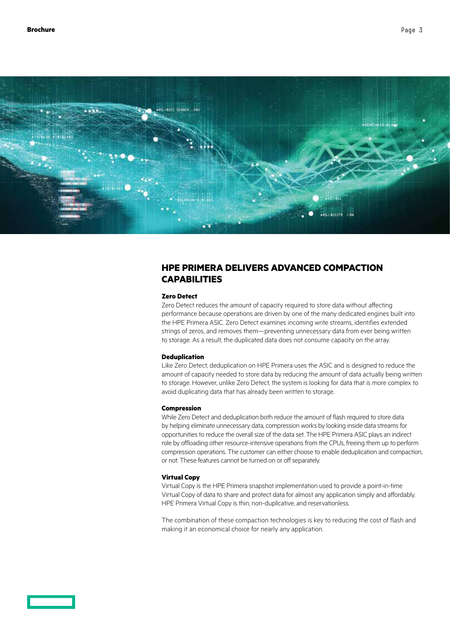

# **HPE PRIMERA DELIVERS ADVANCED COMPACTION CAPABILITIES**

#### **Zero Detect**

Zero Detect reduces the amount of capacity required to store data without affecting performance because operations are driven by one of the many dedicated engines built into the HPE Primera ASIC. Zero Detect examines incoming write streams, identifies extended strings of zeros, and removes them—preventing unnecessary data from ever being written to storage. As a result, the duplicated data does not consume capacity on the array.

### **Deduplication**

Like Zero Detect, deduplication on HPE Primera uses the ASIC and is designed to reduce the amount of capacity needed to store data by reducing the amount of data actually being written to storage. However, unlike Zero Detect, the system is looking for data that is more complex to avoid duplicating data that has already been written to storage.

#### **Compression**

While Zero Detect and deduplication both reduce the amount of flash required to store data by helping eliminate unnecessary data, compression works by looking inside data streams for opportunities to reduce the overall size of the data set. The HPE Primera ASIC plays an indirect role by offloading other resource-intensive operations from the CPUs, freeing them up to perform compression operations. The customer can either choose to enable deduplication and compaction, or not. These features cannot be turned on or off separately.

## **Virtual Copy**

Virtual Copy is the HPE Primera snapshot implementation used to provide a point-in-time Virtual Copy of data to share and protect data for almost any application simply and affordably. HPE Primera Virtual Copy is thin, non-duplicative, and reservationless.

The combination of these compaction technologies is key to reducing the cost of flash and making it an economical choice for nearly any application.